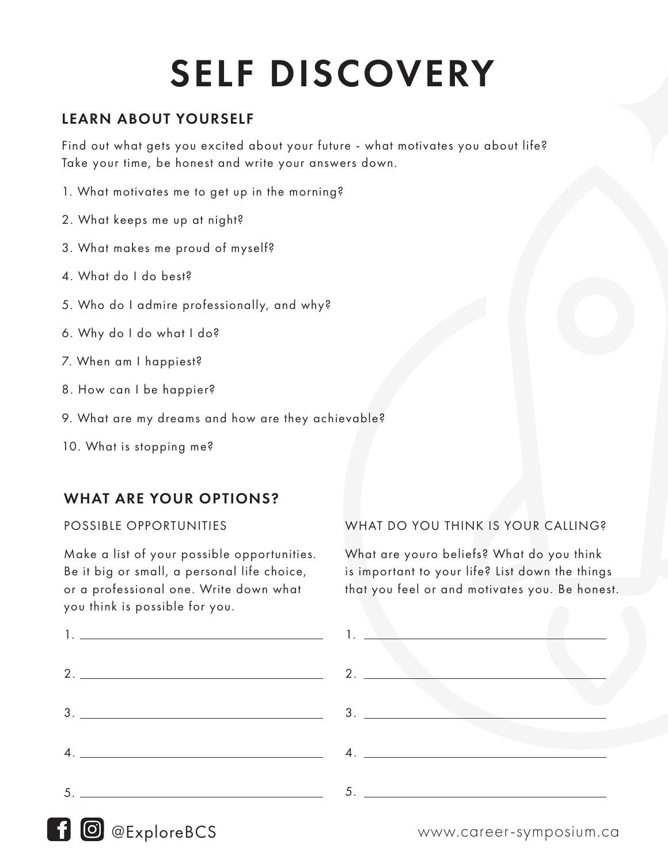# SELF DISCOVERY

## LEARN ABOUT YOURSELF

Find out what gets you excited about your future - what motivates you about life? Take your time, be honest and write your answers down.

- 1. What motivates me to get up in the morning?
- 2. What keeps me up at night?
- 3. What makes me proud of myself?
- 4. What do I do best?
- 5. Who do I admire professionally, and why?
- 6. Why do I do what I do?
- 7. When am I happiest?
- 8. How can I be happier?
- 9. What are my dreams and how are they achievable?
- 10. What is stopping me?

### WHAT ARE YOUR OPTIONS?

#### POSSIBLE OPPORTUNITIES

Make a list of your possible opportunities. Be it big or small, a personal life choice, or a professional one. Write down what you think is possible for you.



#### WHAT DO YOU THINK IS YOUR CALLING?

What are youro beliefs? What do you think is important to your life? List down the things that you feel or and motivates you. Be honest.



# @ExploreBCS www.career-symposium.ca